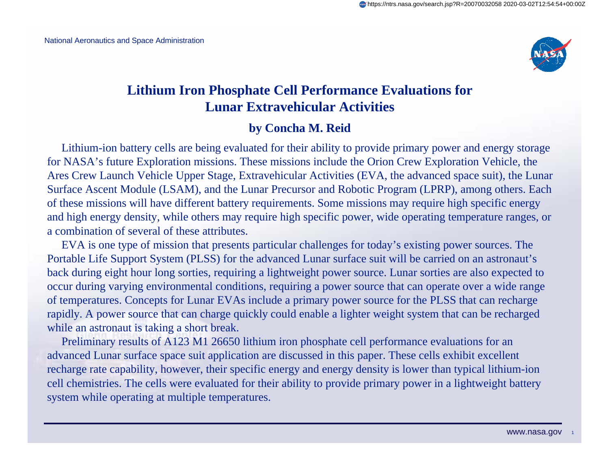

#### **Lithium Iron Phosphate Cell Performance Evaluations for Lunar Extravehicular Activities**

#### **by Concha M. Reid**

Lithium-ion battery cells are being evaluated for their ability to provide primary power and energy storage for NASA's future Exploration missions. These missions include the Orion Crew Exploration Vehicle, the Ares Crew Launch Vehicle Upper Stage, Extravehicular Activities (EVA, the advanced space suit), the Lunar Surface Ascent Module (LSAM), and the Lunar Precursor and Robotic Program (LPRP), among others. Each of these missions will have different battery requirements. Some missions may require high specific energy and high energy density, while others may require high specific power, wide operating temperature ranges, or a combination of several of these attributes.

EVA is one type of mission that presents particular challenges for today's existing power sources. The Portable Life Support System (PLSS) for the advanced Lunar surface suit will be carried on an astronaut's back during eight hour long sorties, requiring a lightweight power source. Lunar sorties are also expected to occur during varying environmental conditions, requiring a power source that can operate over a wide range of temperatures. Concepts for Lunar EVAs include a primary power source for the PLSS that can recharge rapidly. A power source that can charge quickly could enable a lighter weight system that can be recharged while an astronaut is taking a short break.

Preliminary results of A123 M1 26650 lithium iron phosphate cell performance evaluations for an advanced Lunar surface space suit application are discussed in this paper. These cells exhibit excellent recharge rate capability, however, their specific energy and energy density is lower than typical lithium-ion cell chemistries. The cells were evaluated for their ability to provide primary power in a lightweight battery system while operating at multiple temperatures.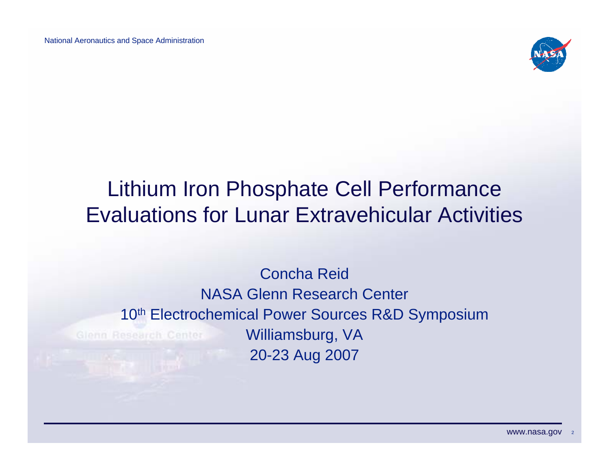

## Lithium Iron Phosphate Cell Performance Evaluations for Lunar Extravehicular Activities

#### Concha ReidNASA Glenn Research Center 10<sup>th</sup> Electrochemical Power Sources R&D Symposium Williamsburg, VA Glenn Research Center 20-23 Aug 2007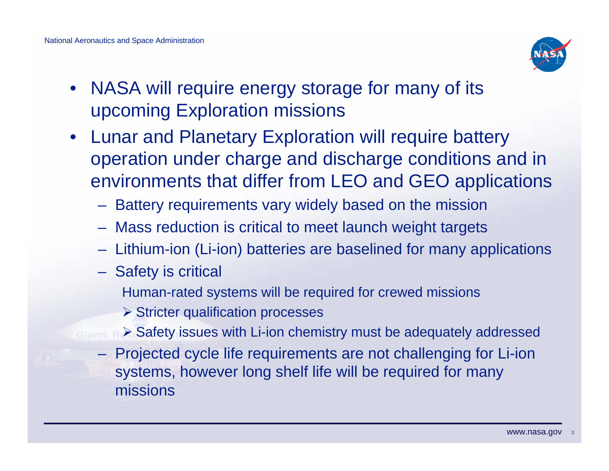

- • NASA will require energy storage for many of its upcoming Exploration missions
- Lunar and Planetary Exploration will require battery operation under charge and discharge conditions and in environments that differ from LEO and GEO applications
	- Battery requirements vary widely based on the mission
	- Mass reduction is critical to meet launch weight targets
	- Lithium-ion (Li-ion) batteries are baselined for many applications
	- Safety is critical
		- Human-rated systems will be required for crewed missions
		- $\triangleright$  Stricter qualification processes
	- ¾ Safety issues with Li-ion chemistry must be adequately addressed
		- Projected cycle life requirements are not challenging for Li-ion systems, however long shelf life will be required for many missions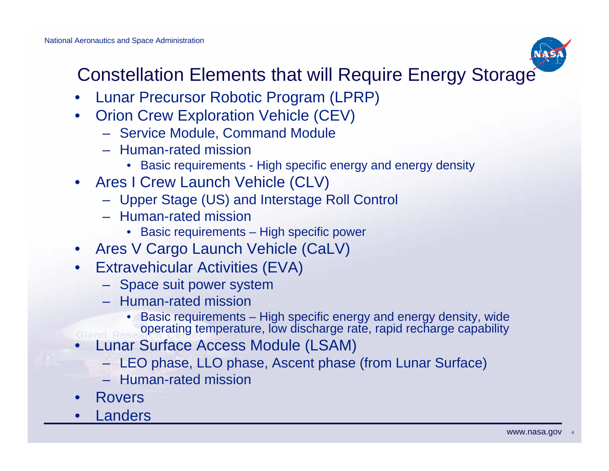

### Constellation Elements that will Require Energy Storage

- •Lunar Precursor Robotic Program (LPRP)
- • Orion Crew Exploration Vehicle (CEV)
	- Service Module, Command Module
	- Human-rated mission
		- Basic requirements High specific energy and energy density
- Ares I Crew Launch Vehicle (CLV)
	- Upper Stage (US) and Interstage Roll Control
	- Human-rated mission
		- Basic requirements High specific power
- Ares V Cargo Launch Vehicle (CaLV)
- Extravehicular Activities (EVA)
	- Space suit power system
	- Human-rated mission
		- Basic requirements High specific energy and energy density, wide operating temperature, low discharge rate, rapid recharge capability
- • Lunar Surface Access Module (LSAM)
	- LEO phase, LLO phase, Ascent phase (from Lunar Surface)
	- Human-rated mission
- •Rovers
- •Landers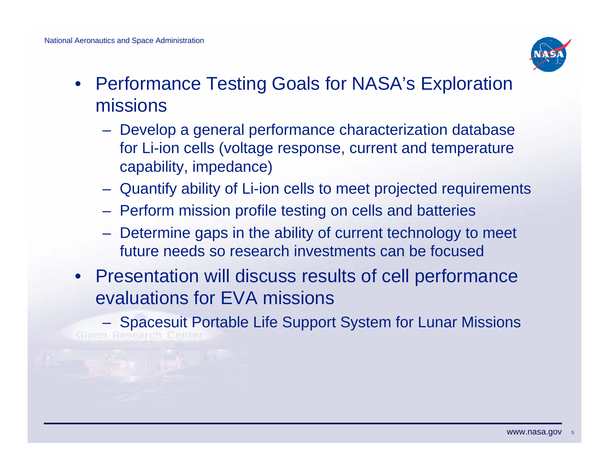

- Performance Testing Goals for NASA's Exploration missions
	- Develop a general performance characterization database for Li-ion cells (voltage response, current and temperature capability, impedance)
	- Quantify ability of Li-ion cells to meet projected requirements
	- Perform mission profile testing on cells and batteries
	- Determine gaps in the ability of current technology to meet future needs so research investments can be focused
- Presentation will discuss results of cell performance evaluations for EVA missions

 Spacesuit Portable Life Support System for Lunar MissionsGlenn Research Center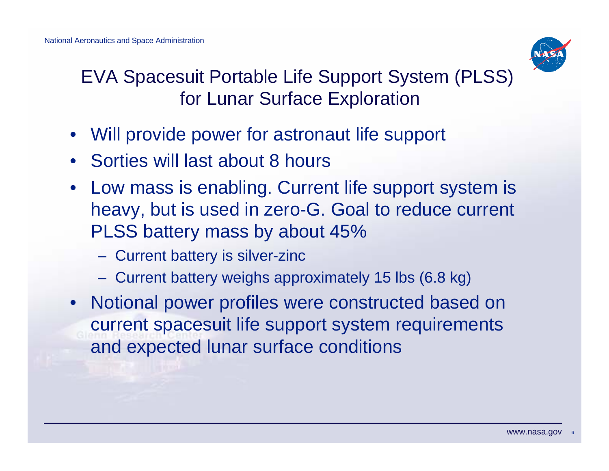

EVA Spacesuit Portable Life Support System (PLSS) for Lunar Surface Exploration

- Will provide power for astronaut life support
- Sorties will last about 8 hours
- Low mass is enabling. Current life support system is heavy, but is used in zero-G. Goal to reduce current PLSS battery mass by about 45%
	- Current battery is silver-zinc
	- Current battery weighs approximately 15 lbs (6.8 kg)
- Notional power profiles were constructed based on current spacesuit life support system requirements and expected lunar surface conditions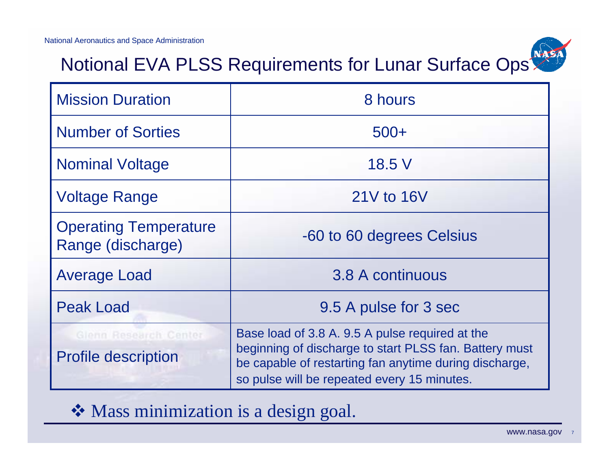

### Notional EVA PLSS Requirements for Lunar Surface Ops

| <b>Mission Duration</b>                             | 8 hours                                                                                                                                                                                                            |  |  |
|-----------------------------------------------------|--------------------------------------------------------------------------------------------------------------------------------------------------------------------------------------------------------------------|--|--|
| <b>Number of Sorties</b>                            | $500+$                                                                                                                                                                                                             |  |  |
| <b>Nominal Voltage</b>                              | 18.5 V                                                                                                                                                                                                             |  |  |
| <b>Voltage Range</b>                                | 21V to 16V                                                                                                                                                                                                         |  |  |
| <b>Operating Temperature</b><br>Range (discharge)   | -60 to 60 degrees Celsius                                                                                                                                                                                          |  |  |
| <b>Average Load</b>                                 | 3.8 A continuous                                                                                                                                                                                                   |  |  |
| <b>Peak Load</b>                                    | 9.5 A pulse for 3 sec                                                                                                                                                                                              |  |  |
| Glenn Research Center<br><b>Profile description</b> | Base load of 3.8 A. 9.5 A pulse required at the<br>beginning of discharge to start PLSS fan. Battery must<br>be capable of restarting fan anytime during discharge,<br>so pulse will be repeated every 15 minutes. |  |  |

#### Mass minimization is a design goal.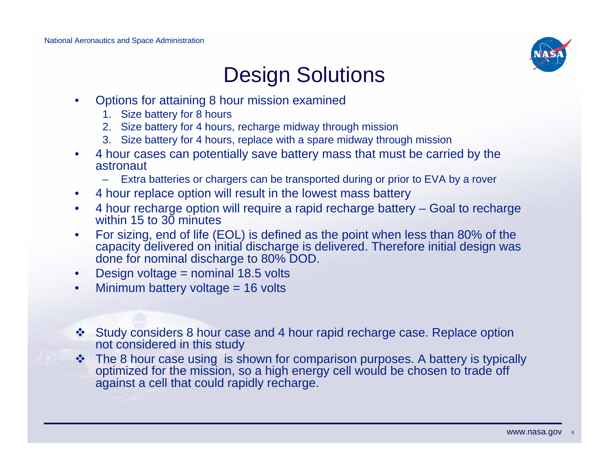

# Design Solutions

- • Options for attaining 8 hour mission examined
	- 1. Size battery for 8 hours
	- 2. Size battery for 4 hours, recharge midway through mission
	- 3. Size battery for 4 hours, replace with a spare midway through mission
- $\bullet$  4 hour cases can potentially save battery mass that must be carried by the astronaut
	- Extra batteries or chargers can be transported during or prior to EVA by a rover
- $\bullet$ 4 hour replace option will result in the lowest mass battery
- $\bullet$  4 hour recharge option will require a rapid recharge battery – Goal to recharge within 15 to 30 minutes
- • For sizing, end of life (EOL) is defined as the point when less than 80% of the capacity delivered on initial discharge is delivered. Therefore initial design was done for nominal discharge to 80% DOD.
- $\bullet$ Design voltage = nominal 18.5 volts
- $\bullet$ Minimum battery voltage = 16 volts
- Study considers 8 hour case and 4 hour rapid recharge case. Replace option not considered in this study
- $\cdot$  The 8 hour case using is shown for comparison purposes. A battery is typically optimized for the mission, so a high energy cell would be chosen to trade off against a cell that could rapidly recharge.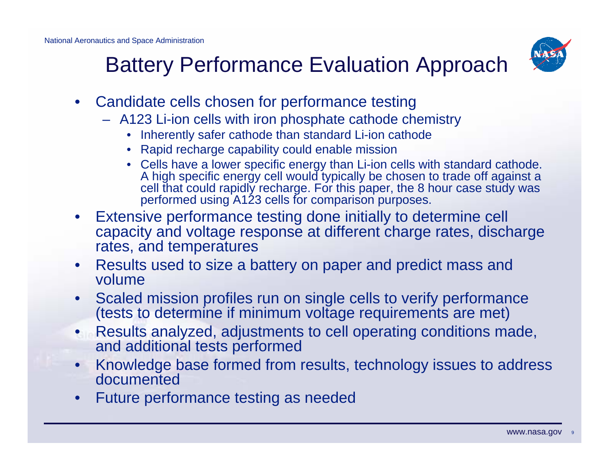

# Battery Performance Evaluation Approach

- Candidate cells chosen for performance testing
	- A123 Li-ion cells with iron phosphate cathode chemistry
		- Inherently safer cathode than standard Li-ion cathode
		- Rapid recharge capability could enable mission
		- Cells have a lower specific energy than Li-ion cells with standard cathode. A high specific energy cell would typically be chosen to trade off against a cell that could rapidly recharge. For this paper, the 8 hour case study was performed using A123 cells for comparison purposes.
- $\bullet$  Extensive performance testing done initially to determine cell capacity and voltage response at different charge rates, discharge rates, and temperatures
- $\bullet$  Results used to size a battery on paper and predict mass and volume
- • Scaled mission profiles run on single cells to verify performance (tests to determine if minimum voltage requirements are met)
- Results analyzed, adjustments to cell operating conditions made, and additional tests performed
- • Knowledge base formed from results, technology issues to address documented
- •Future performance testing as needed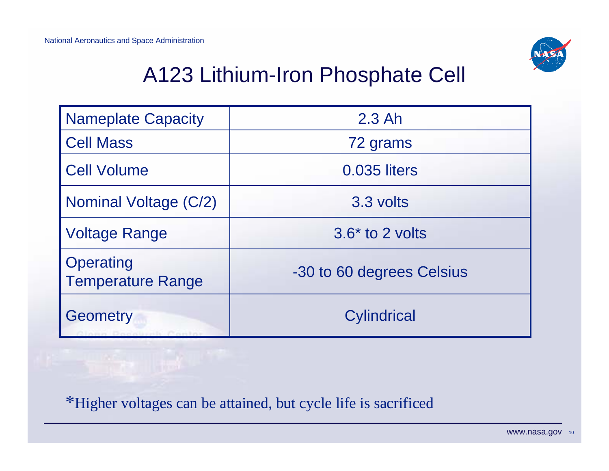

# A123 Lithium-Iron Phosphate Cell

| <b>Nameplate Capacity</b>                    | $2.3$ Ah                  |  |  |
|----------------------------------------------|---------------------------|--|--|
| <b>Cell Mass</b>                             | 72 grams                  |  |  |
| <b>Cell Volume</b>                           | 0.035 liters              |  |  |
| Nominal Voltage (C/2)                        | 3.3 volts                 |  |  |
| <b>Voltage Range</b>                         | $3.6*$ to 2 volts         |  |  |
| <b>Operating</b><br><b>Temperature Range</b> | -30 to 60 degrees Celsius |  |  |
| <b>Geometry</b><br>Clarin Possberth Contor   | <b>Cylindrical</b>        |  |  |

\*Higher voltages can be attained, but cycle life is sacrificed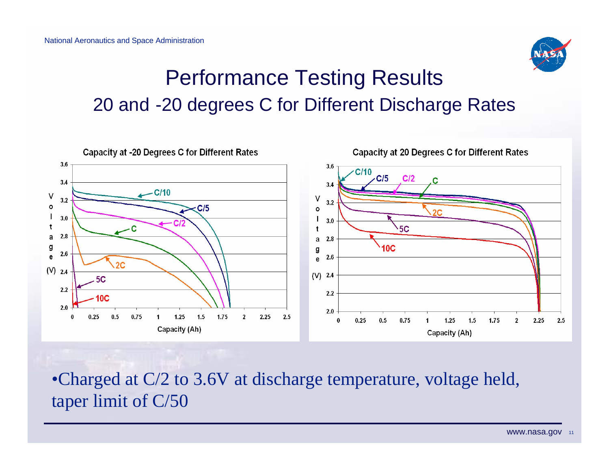

### Performance Testing Results 20 and -20 degrees C for Different Discharge Rates



•Charged at C/2 to 3.6V at discharge temperature, voltage held, taper limit of C/50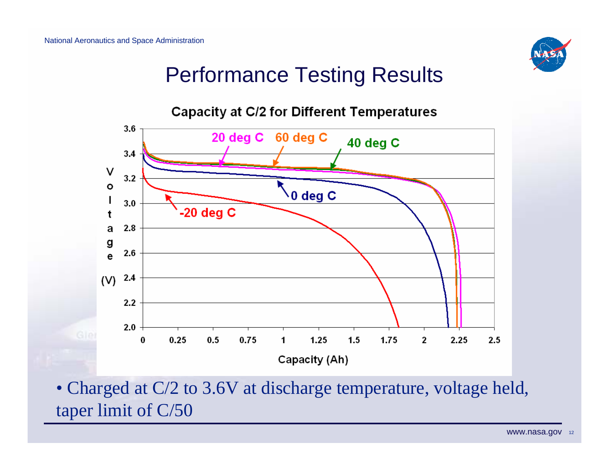

## Performance Testing Results



• Charged at C/2 to 3.6V at discharge temperature, voltage held, taper limit of C/50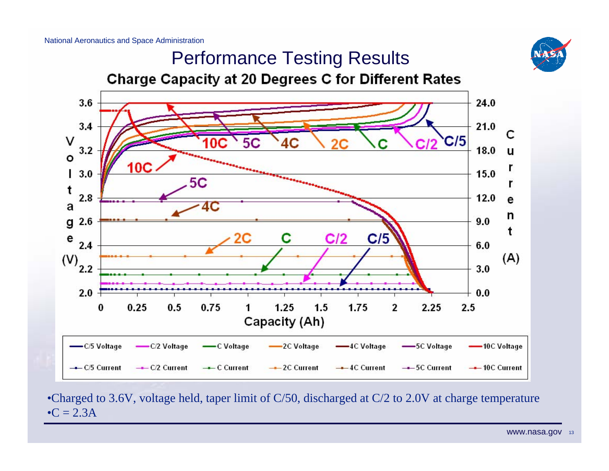



•Charged to 3.6V, voltage held, taper limit of C/50, discharged at C/2 to 2.0V at charge temperature  $\bullet C = 2.3A$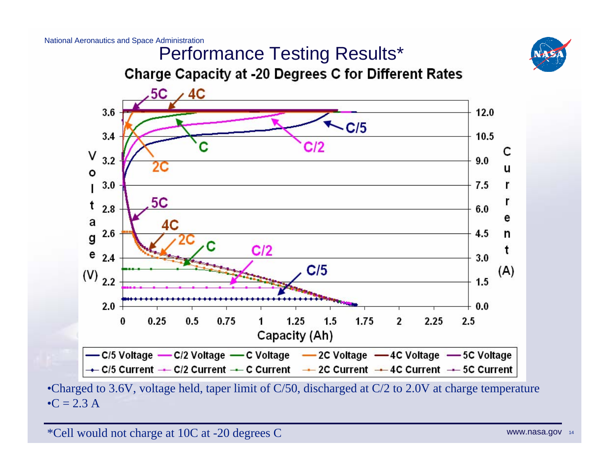

#### Performance Testing Results\***Charge Capacity at -20 Degrees C for Different Rates**



•Charged to 3.6V, voltage held, taper limit of C/50, discharged at C/2 to 2.0V at charge temperature • $C = 2.3 A$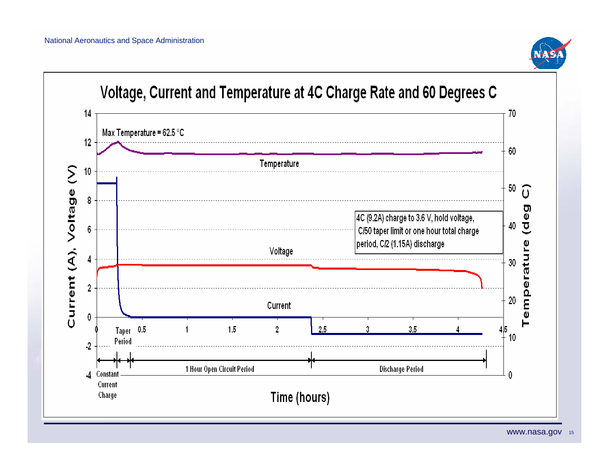

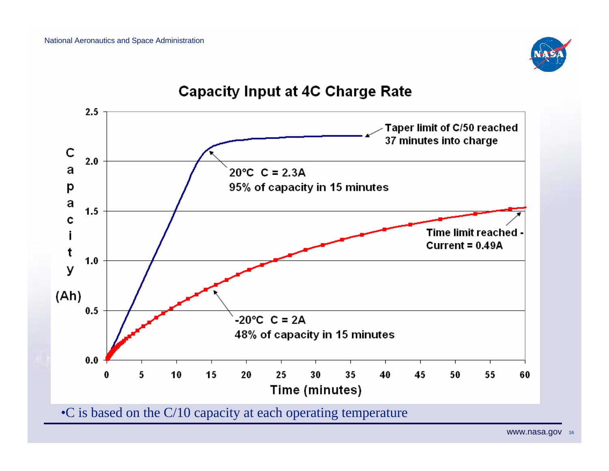

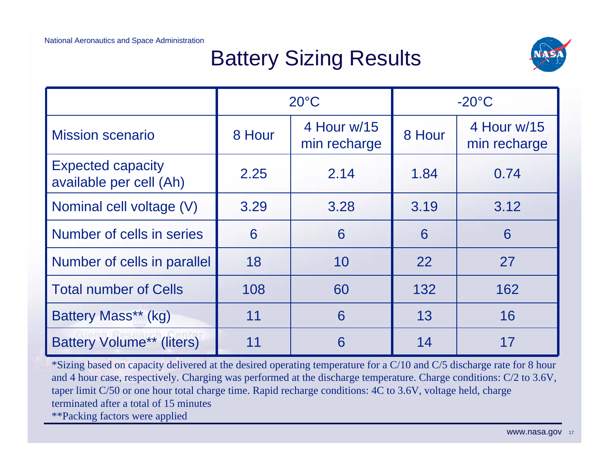# Battery Sizing Results



|                                                     | $20^{\circ}$ C |                             | $-20^{\circ}$ C |                             |
|-----------------------------------------------------|----------------|-----------------------------|-----------------|-----------------------------|
| <b>Mission scenario</b>                             | 8 Hour         | 4 Hour w/15<br>min recharge | 8 Hour          | 4 Hour w/15<br>min recharge |
| <b>Expected capacity</b><br>available per cell (Ah) | 2.25           | 2.14                        | 1.84            | 0.74                        |
| Nominal cell voltage (V)                            | 3.29           | 3.28                        | 3.19            | 3.12                        |
| Number of cells in series                           | 6              | 6                           | 6               | 6                           |
| Number of cells in parallel                         | 18             | 10                          | 22              | 27                          |
| <b>Total number of Cells</b>                        | 108            | 60                          | 132             | 162                         |
| Battery Mass** (kg)                                 | 11             | 6                           | 13              | 16                          |
| <b>Battery Volume** (liters)</b>                    | 11             | 6                           | 14              |                             |

\*Sizing based on capacity delivered at the desired operating temperature for a C/10 and C/5 discharge rate for 8 hour and 4 hour case, respectively. Charging was performed at the discharge temperature. Charge conditions: C/2 to 3.6V, taper limit C/50 or one hour total charge time. Rapid recharge conditions: 4C to 3.6V, voltage held, charge terminated after a total of 15 minutes\*\*Packing factors were applied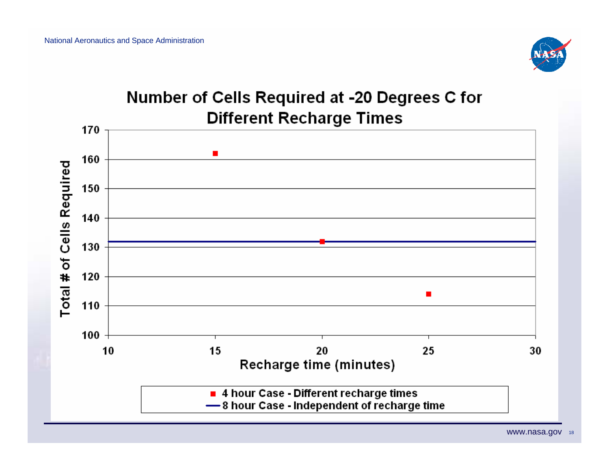

#### Number of Cells Required at -20 Degrees C for **Different Recharge Times**

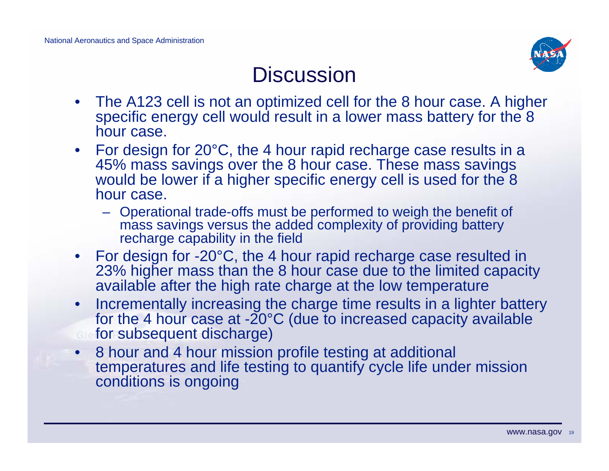

### **Discussion**

- • The A123 cell is not an optimized cell for the 8 hour case. A higher specific energy cell would result in a lower mass battery for the 8 hour case.
- For design for 20°C, the 4 hour rapid recharge case results in a 45% mass savings over the 8 hour case. These mass savings would be lower if a higher specific energy cell is used for the 8 hour case.
	- Operational trade-offs must be performed to weigh the benefit of mass savings versus the added complexity of providing battery recharge capability in the field
- For design for -20°C, the 4 hour rapid recharge case resulted in 23% higher mass than the 8 hour case due to the limited capacity available after the high rate charge at the low temperature
- $\bullet$  Incrementally increasing the charge time results in a lighter battery for the 4 hour case at -20°C (due to increased capacity available for subsequent discharge)
- 8 hour and 4 hour mission profile testing at additional temperatures and life testing to quantify cycle life under mission conditions is ongoing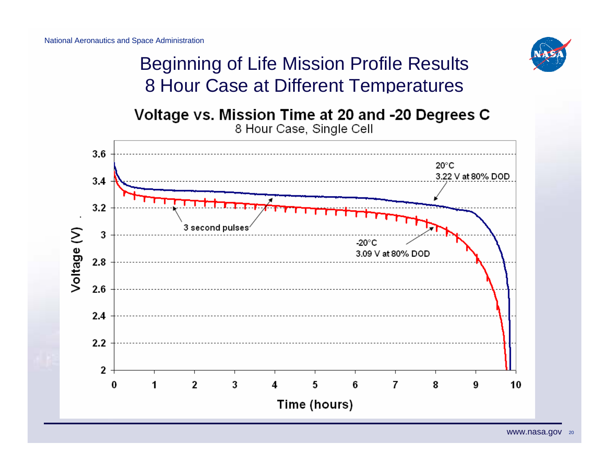

### Beginning of Life Mission Profile Results 8 Hour Case at Different Temperatures

Voltage vs. Mission Time at 20 and -20 Degrees C 8 Hour Case, Single Cell

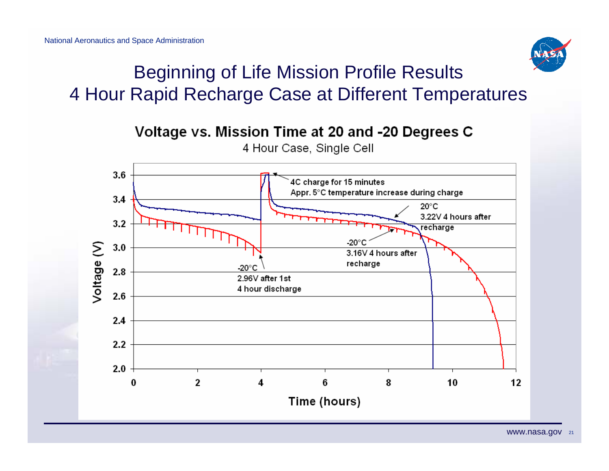

### Beginning of Life Mission Profile Results 4 Hour Rapid Recharge Case at Different Temperatures

#### Voltage vs. Mission Time at 20 and -20 Degrees C



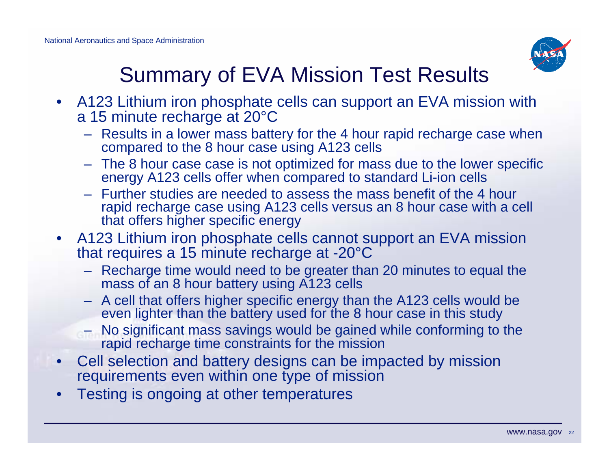

# Summary of EVA Mission Test Results

- A123 Lithium iron phosphate cells can support an EVA mission with a 15 minute recharge at 20°C
	- Results in a lower mass battery for the 4 hour rapid recharge case when compared to the 8 hour case using A123 cells
	- The 8 hour case case is not optimized for mass due to the lower specific energy A123 cells offer when compared to standard Li-ion cells
	- Further studies are needed to assess the mass benefit of the 4 hour rapid recharge case using A123 cells versus an 8 hour case with a cell that offers higher specific energy
- • A123 Lithium iron phosphate cells cannot support an EVA mission that requires a 15 minute recharge at -20°C
	- Recharge time would need to be greater than 20 minutes to equal the mass of an 8 hour battery using A123 cells
	- A cell that offers higher specific energy than the A123 cells would be even lighter than the battery used for the 8 hour case in this study
	- No significant mass savings would be gained while conforming to the rapid recharge time constraints for the mission
- • Cell selection and battery designs can be impacted by mission requirements even within one type of mission
- •Testing is ongoing at other temperatures